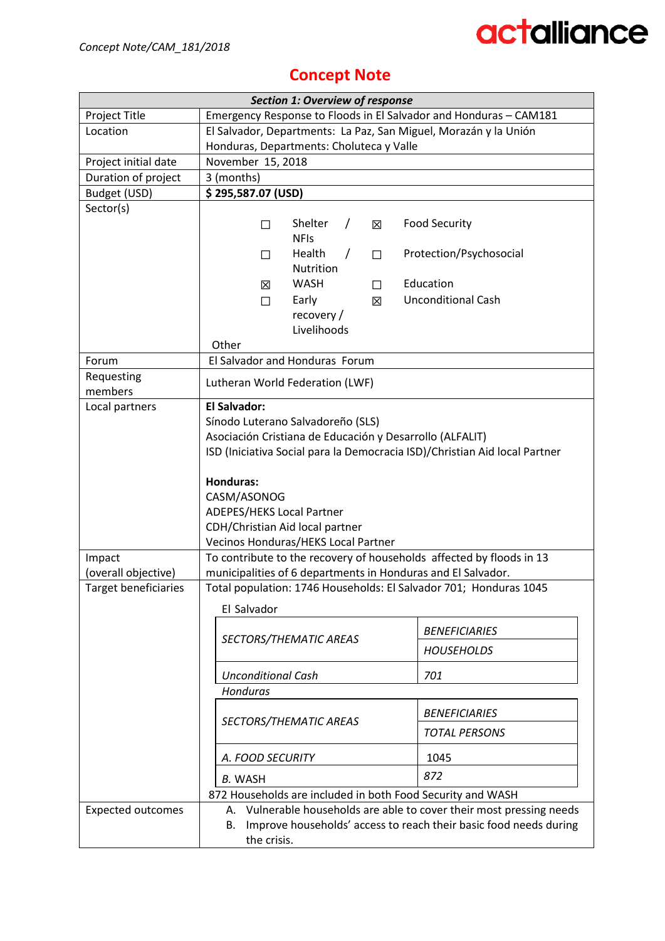### **Concept Note**

|                             | <b>Section 1: Overview of response</b>                                                                                                          |                           |  |  |
|-----------------------------|-------------------------------------------------------------------------------------------------------------------------------------------------|---------------------------|--|--|
| Project Title               | Emergency Response to Floods in El Salvador and Honduras - CAM181                                                                               |                           |  |  |
| Location                    | El Salvador, Departments: La Paz, San Miguel, Morazán y la Unión                                                                                |                           |  |  |
|                             | Honduras, Departments: Choluteca y Valle                                                                                                        |                           |  |  |
| Project initial date        | November 15, 2018                                                                                                                               |                           |  |  |
| Duration of project         | 3 (months)                                                                                                                                      |                           |  |  |
| Budget (USD)                | \$295,587.07 (USD)                                                                                                                              |                           |  |  |
| Sector(s)                   |                                                                                                                                                 |                           |  |  |
|                             | Shelter<br>$\prime$<br>冈<br>П                                                                                                                   | <b>Food Security</b>      |  |  |
|                             | <b>NFIs</b>                                                                                                                                     |                           |  |  |
|                             | Health<br>$\prime$<br>$\Box$<br>$\Box$<br>Nutrition                                                                                             | Protection/Psychosocial   |  |  |
|                             | <b>WASH</b>                                                                                                                                     | Education                 |  |  |
|                             | 区<br>$\Box$<br>Early                                                                                                                            | <b>Unconditional Cash</b> |  |  |
|                             | X<br>$\Box$<br>recovery/                                                                                                                        |                           |  |  |
|                             | Livelihoods                                                                                                                                     |                           |  |  |
|                             | Other                                                                                                                                           |                           |  |  |
| Forum                       | El Salvador and Honduras Forum                                                                                                                  |                           |  |  |
| Requesting                  |                                                                                                                                                 |                           |  |  |
| members                     | Lutheran World Federation (LWF)                                                                                                                 |                           |  |  |
| Local partners              | <b>El Salvador:</b>                                                                                                                             |                           |  |  |
|                             | Sínodo Luterano Salvadoreño (SLS)                                                                                                               |                           |  |  |
|                             | Asociación Cristiana de Educación y Desarrollo (ALFALIT)                                                                                        |                           |  |  |
|                             | ISD (Iniciativa Social para la Democracia ISD)/Christian Aid local Partner                                                                      |                           |  |  |
|                             | <b>Honduras:</b>                                                                                                                                |                           |  |  |
|                             | CASM/ASONOG                                                                                                                                     |                           |  |  |
|                             | <b>ADEPES/HEKS Local Partner</b>                                                                                                                |                           |  |  |
|                             | CDH/Christian Aid local partner                                                                                                                 |                           |  |  |
|                             | Vecinos Honduras/HEKS Local Partner                                                                                                             |                           |  |  |
| Impact                      | To contribute to the recovery of households affected by floods in 13                                                                            |                           |  |  |
| (overall objective)         | municipalities of 6 departments in Honduras and El Salvador.                                                                                    |                           |  |  |
| <b>Target beneficiaries</b> | Total population: 1746 Households: El Salvador 701; Honduras 1045                                                                               |                           |  |  |
|                             | El Salvador                                                                                                                                     |                           |  |  |
|                             |                                                                                                                                                 |                           |  |  |
|                             | SECTORS/THEMATIC AREAS                                                                                                                          | <b>BENEFICIARIES</b>      |  |  |
|                             |                                                                                                                                                 | <b>HOUSEHOLDS</b>         |  |  |
|                             | <b>Unconditional Cash</b>                                                                                                                       | 701                       |  |  |
|                             | Honduras                                                                                                                                        |                           |  |  |
|                             | <b>BENEFICIARIES</b>                                                                                                                            |                           |  |  |
|                             | SECTORS/THEMATIC AREAS<br><b>TOTAL PERSONS</b>                                                                                                  |                           |  |  |
|                             |                                                                                                                                                 |                           |  |  |
|                             | A. FOOD SECURITY<br>1045<br>872<br><b>B. WASH</b>                                                                                               |                           |  |  |
|                             |                                                                                                                                                 |                           |  |  |
|                             | 872 Households are included in both Food Security and WASH                                                                                      |                           |  |  |
| <b>Expected outcomes</b>    | A. Vulnerable households are able to cover their most pressing needs<br>Improve households' access to reach their basic food needs during<br>В. |                           |  |  |
|                             |                                                                                                                                                 |                           |  |  |
|                             | the crisis.                                                                                                                                     |                           |  |  |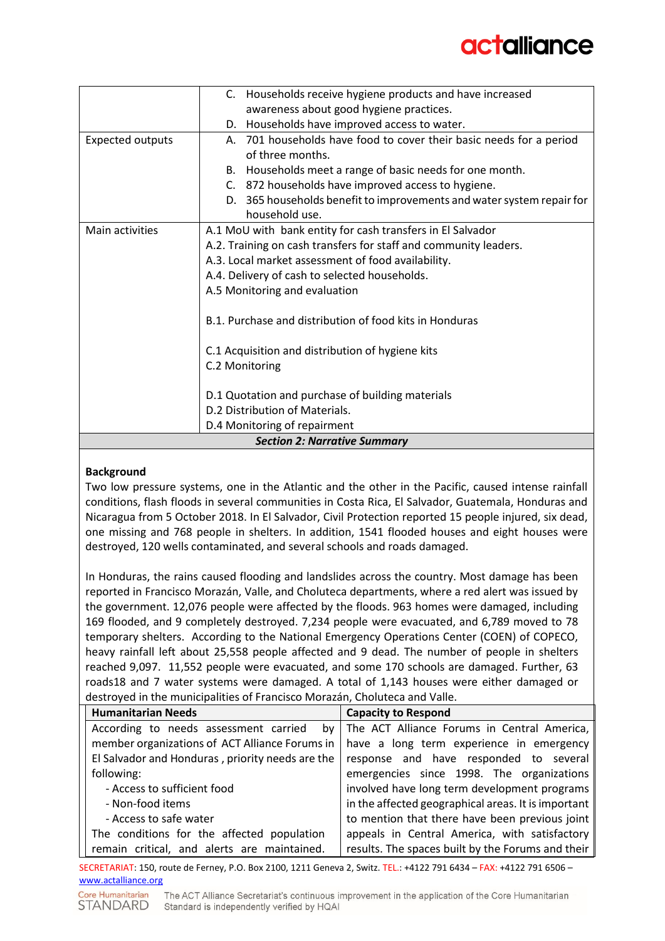|                                     | C. Households receive hygiene products and have increased              |  |  |  |
|-------------------------------------|------------------------------------------------------------------------|--|--|--|
|                                     | awareness about good hygiene practices.                                |  |  |  |
|                                     | D. Households have improved access to water.                           |  |  |  |
| <b>Expected outputs</b>             | 701 households have food to cover their basic needs for a period<br>А. |  |  |  |
|                                     | of three months.                                                       |  |  |  |
|                                     | B. Households meet a range of basic needs for one month.               |  |  |  |
|                                     | C. 872 households have improved access to hygiene.                     |  |  |  |
|                                     | D. 365 households benefit to improvements and water system repair for  |  |  |  |
|                                     | household use.                                                         |  |  |  |
| Main activities                     | A.1 MoU with bank entity for cash transfers in El Salvador             |  |  |  |
|                                     | A.2. Training on cash transfers for staff and community leaders.       |  |  |  |
|                                     | A.3. Local market assessment of food availability.                     |  |  |  |
|                                     | A.4. Delivery of cash to selected households.                          |  |  |  |
|                                     | A.5 Monitoring and evaluation                                          |  |  |  |
|                                     | B.1. Purchase and distribution of food kits in Honduras                |  |  |  |
|                                     | C.1 Acquisition and distribution of hygiene kits                       |  |  |  |
|                                     | C.2 Monitoring                                                         |  |  |  |
|                                     | D.1 Quotation and purchase of building materials                       |  |  |  |
|                                     | D.2 Distribution of Materials.                                         |  |  |  |
| D.4 Monitoring of repairment        |                                                                        |  |  |  |
| <b>Section 2: Narrative Summary</b> |                                                                        |  |  |  |

#### **Background**

Two low pressure systems, one in the Atlantic and the other in the Pacific, caused intense rainfall conditions, flash floods in several communities in Costa Rica, El Salvador, Guatemala, Honduras and Nicaragua from 5 October 2018. In El Salvador, Civil Protection reported 15 people injured, six dead, one missing and 768 people in shelters. In addition, 1541 flooded houses and eight houses were destroyed, 120 wells contaminated, and several schools and roads damaged.

In Honduras, the rains caused flooding and landslides across the country. Most damage has been reported in Francisco Morazán, Valle, and Choluteca departments, where a red alert was issued by the government. 12,076 people were affected by the floods. 963 homes were damaged, including 169 flooded, and 9 completely destroyed. 7,234 people were evacuated, and 6,789 moved to 78 temporary shelters. According to the National Emergency Operations Center (COEN) of COPECO, heavy rainfall left about 25,558 people affected and 9 dead. The number of people in shelters reached 9,097. 11,552 people were evacuated, and some 170 schools are damaged. Further, 63 roads18 and 7 water systems were damaged. A total of 1,143 houses were either damaged or destroyed in the municipalities of Francisco Morazán, Choluteca and Valle.

| <b>Humanitarian Needs</b>                        | <b>Capacity to Respond</b>                          |  |  |
|--------------------------------------------------|-----------------------------------------------------|--|--|
| According to needs assessment carried<br>bv      | The ACT Alliance Forums in Central America,         |  |  |
| member organizations of ACT Alliance Forums in   | have a long term experience in emergency            |  |  |
| El Salvador and Honduras, priority needs are the | response and have responded to several              |  |  |
| following:                                       | emergencies since 1998. The organizations           |  |  |
| - Access to sufficient food                      | involved have long term development programs        |  |  |
| - Non-food items                                 | in the affected geographical areas. It is important |  |  |
| - Access to safe water                           | to mention that there have been previous joint      |  |  |
| The conditions for the affected population       | appeals in Central America, with satisfactory       |  |  |
| remain critical, and alerts are maintained.      | results. The spaces built by the Forums and their   |  |  |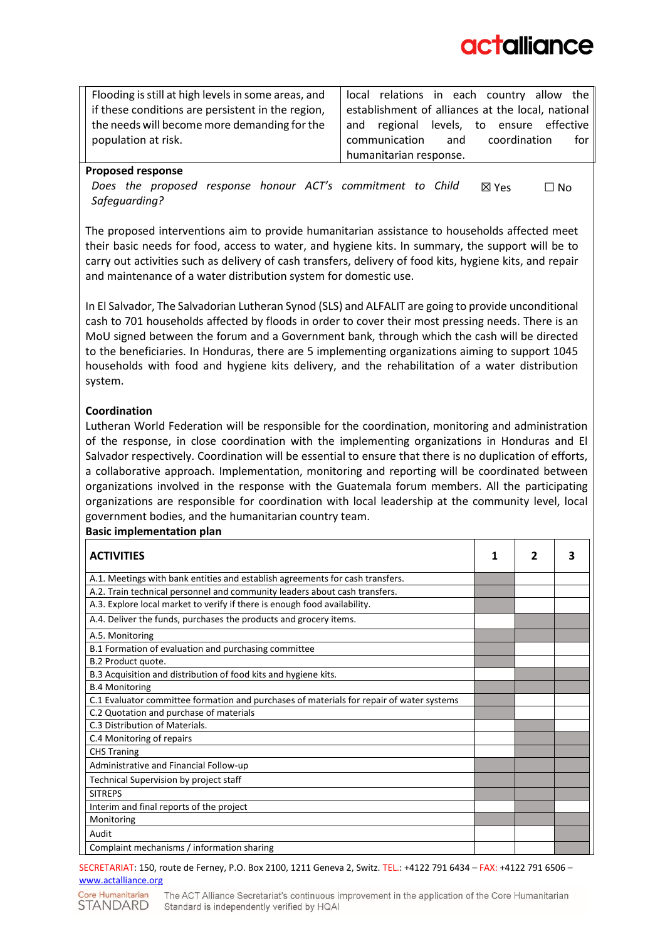Flooding is still at high levels in some areas, and if these conditions are persistent in the region, the needs will become more demanding for the population at risk.

local relations in each country allow the establishment of alliances at the local, national and regional levels, to ensure effective communication and coordination for humanitarian response.

### **Proposed response**

*Does the proposed response honour ACT's commitment to Child Safeguarding?*  ☒ Yes ☐ No

The proposed interventions aim to provide humanitarian assistance to households affected meet their basic needs for food, access to water, and hygiene kits. In summary, the support will be to carry out activities such as delivery of cash transfers, delivery of food kits, hygiene kits, and repair and maintenance of a water distribution system for domestic use.

In El Salvador, The Salvadorian Lutheran Synod (SLS) and ALFALIT are going to provide unconditional cash to 701 households affected by floods in order to cover their most pressing needs. There is an MoU signed between the forum and a Government bank, through which the cash will be directed to the beneficiaries. In Honduras, there are 5 implementing organizations aiming to support 1045 households with food and hygiene kits delivery, and the rehabilitation of a water distribution system.

### **Coordination**

Lutheran World Federation will be responsible for the coordination, monitoring and administration of the response, in close coordination with the implementing organizations in Honduras and El Salvador respectively. Coordination will be essential to ensure that there is no duplication of efforts, a collaborative approach. Implementation, monitoring and reporting will be coordinated between organizations involved in the response with the Guatemala forum members. All the participating organizations are responsible for coordination with local leadership at the community level, local government bodies, and the humanitarian country team.

### **Basic implementation plan**

| <b>ACTIVITIES</b>                                                                        |  |  |
|------------------------------------------------------------------------------------------|--|--|
| A.1. Meetings with bank entities and establish agreements for cash transfers.            |  |  |
| A.2. Train technical personnel and community leaders about cash transfers.               |  |  |
| A.3. Explore local market to verify if there is enough food availability.                |  |  |
| A.4. Deliver the funds, purchases the products and grocery items.                        |  |  |
| A.5. Monitoring                                                                          |  |  |
| B.1 Formation of evaluation and purchasing committee                                     |  |  |
| B.2 Product quote.                                                                       |  |  |
| B.3 Acquisition and distribution of food kits and hygiene kits.                          |  |  |
| <b>B.4 Monitoring</b>                                                                    |  |  |
| C.1 Evaluator committee formation and purchases of materials for repair of water systems |  |  |
| C.2 Quotation and purchase of materials                                                  |  |  |
| C.3 Distribution of Materials.                                                           |  |  |
| C.4 Monitoring of repairs                                                                |  |  |
| <b>CHS Traning</b>                                                                       |  |  |
| Administrative and Financial Follow-up                                                   |  |  |
| Technical Supervision by project staff                                                   |  |  |
| <b>SITREPS</b>                                                                           |  |  |
| Interim and final reports of the project                                                 |  |  |
| Monitoring                                                                               |  |  |
| Audit                                                                                    |  |  |
| Complaint mechanisms / information sharing                                               |  |  |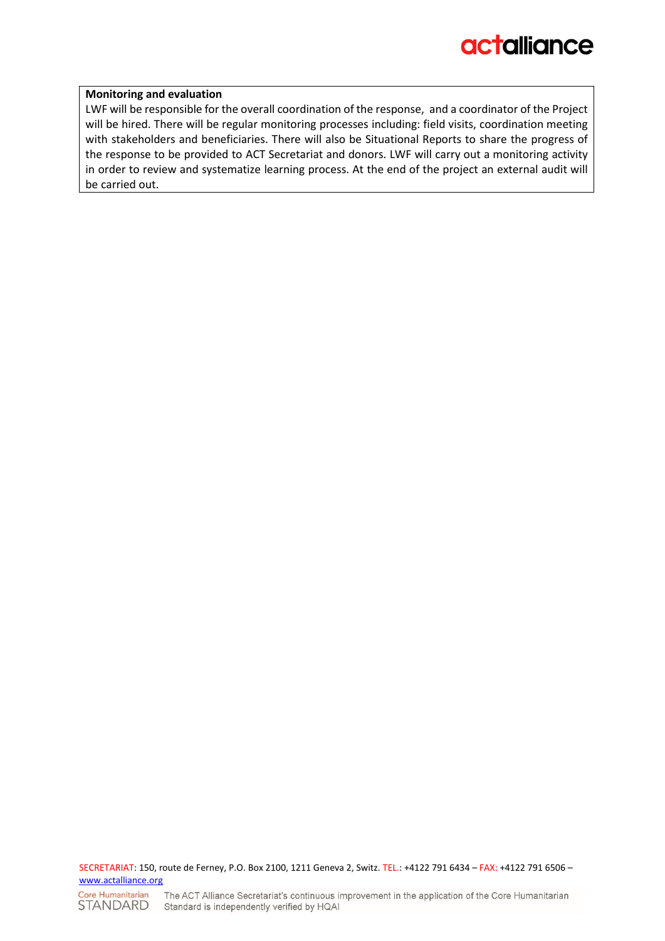#### **Monitoring and evaluation**

LWF will be responsible for the overall coordination of the response, and a coordinator of the Project will be hired. There will be regular monitoring processes including: field visits, coordination meeting with stakeholders and beneficiaries. There will also be Situational Reports to share the progress of the response to be provided to ACT Secretariat and donors. LWF will carry out a monitoring activity in order to review and systematize learning process. At the end of the project an external audit will be carried out.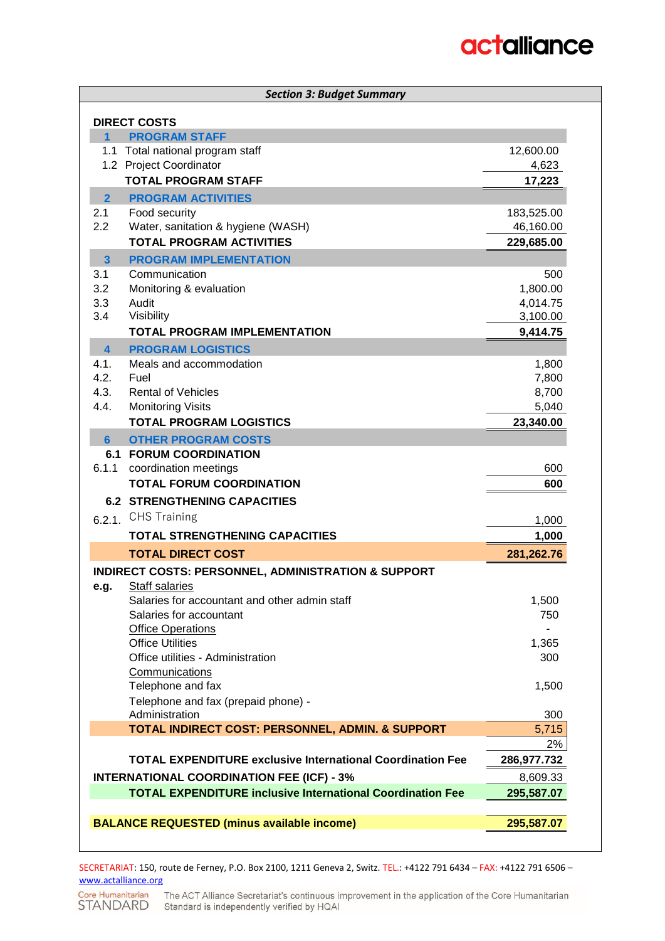| <b>Section 3: Budget Summary</b>                                  |                      |  |  |
|-------------------------------------------------------------------|----------------------|--|--|
| <b>DIRECT COSTS</b>                                               |                      |  |  |
| $\blacktriangleleft$<br><b>PROGRAM STAFF</b>                      |                      |  |  |
| 1.1 Total national program staff                                  | 12,600.00            |  |  |
| 1.2 Project Coordinator                                           | 4,623                |  |  |
| <b>TOTAL PROGRAM STAFF</b>                                        | 17,223               |  |  |
| $\overline{2}$<br><b>PROGRAM ACTIVITIES</b>                       |                      |  |  |
| 2.1<br>Food security                                              | 183,525.00           |  |  |
| 2.2<br>Water, sanitation & hygiene (WASH)                         | 46,160.00            |  |  |
| <b>TOTAL PROGRAM ACTIVITIES</b>                                   | 229,685.00           |  |  |
| $\overline{\mathbf{3}}$<br><b>PROGRAM IMPLEMENTATION</b>          |                      |  |  |
| Communication<br>3.1<br>3.2                                       | 500                  |  |  |
| Monitoring & evaluation<br>3.3<br>Audit                           | 1,800.00<br>4,014.75 |  |  |
| 3.4<br>Visibility                                                 | 3,100.00             |  |  |
| <b>TOTAL PROGRAM IMPLEMENTATION</b>                               | 9,414.75             |  |  |
| $\overline{\mathbf{4}}$<br><b>PROGRAM LOGISTICS</b>               |                      |  |  |
| 4.1.<br>Meals and accommodation                                   | 1,800                |  |  |
| 4.2.<br>Fuel                                                      | 7,800                |  |  |
| 4.3.<br><b>Rental of Vehicles</b>                                 | 8,700                |  |  |
| 4.4.<br><b>Monitoring Visits</b>                                  | 5,040                |  |  |
| <b>TOTAL PROGRAM LOGISTICS</b>                                    | 23,340.00            |  |  |
| <b>OTHER PROGRAM COSTS</b><br>6                                   |                      |  |  |
| <b>6.1 FORUM COORDINATION</b>                                     |                      |  |  |
| 6.1.1<br>coordination meetings                                    | 600                  |  |  |
| <b>TOTAL FORUM COORDINATION</b>                                   | 600                  |  |  |
| <b>6.2 STRENGTHENING CAPACITIES</b>                               |                      |  |  |
| 6.2.1. CHS Training                                               | 1,000                |  |  |
| <b>TOTAL STRENGTHENING CAPACITIES</b>                             | 1,000                |  |  |
| <b>TOTAL DIRECT COST</b>                                          | 281,262.76           |  |  |
| <b>INDIRECT COSTS: PERSONNEL, ADMINISTRATION &amp; SUPPORT</b>    |                      |  |  |
| <b>Staff salaries</b><br>e.g.                                     |                      |  |  |
| Salaries for accountant and other admin staff                     | 1,500                |  |  |
| Salaries for accountant                                           | 750                  |  |  |
| <b>Office Operations</b><br><b>Office Utilities</b>               |                      |  |  |
| Office utilities - Administration                                 | 1,365<br>300         |  |  |
| Communications                                                    |                      |  |  |
| Telephone and fax                                                 | 1,500                |  |  |
| Telephone and fax (prepaid phone) -                               |                      |  |  |
| Administration                                                    | 300                  |  |  |
| TOTAL INDIRECT COST: PERSONNEL, ADMIN. & SUPPORT                  | 5,715                |  |  |
|                                                                   | 2%                   |  |  |
| <b>TOTAL EXPENDITURE exclusive International Coordination Fee</b> | 286,977.732          |  |  |
| <b>INTERNATIONAL COORDINATION FEE (ICF) - 3%</b>                  | 8,609.33             |  |  |
| <b>TOTAL EXPENDITURE inclusive International Coordination Fee</b> | 295,587.07           |  |  |
|                                                                   |                      |  |  |
| <b>BALANCE REQUESTED (minus available income)</b>                 | 295,587.07           |  |  |